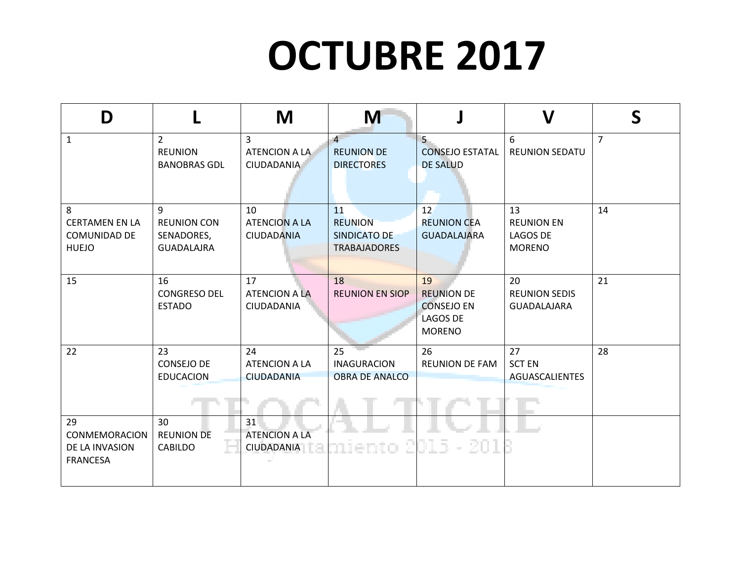## **OCTUBRE 2017**

| D                                                          |                                                            | M                                                    | M                                                           |                                                                           | V                                                           | S              |
|------------------------------------------------------------|------------------------------------------------------------|------------------------------------------------------|-------------------------------------------------------------|---------------------------------------------------------------------------|-------------------------------------------------------------|----------------|
| $\mathbf{1}$                                               | $\overline{2}$<br><b>REUNION</b><br><b>BANOBRAS GDL</b>    | $\overline{3}$<br>ATENCION A LA<br><b>CIUDADANIA</b> | $\overline{4}$<br><b>REUNION DE</b><br><b>DIRECTORES</b>    | $5 -$<br><b>CONSEJO ESTATAL</b><br><b>DE SALUD</b>                        | 6<br><b>REUNION SEDATU</b>                                  | $\overline{7}$ |
| 8<br><b>CERTAMEN EN LA</b><br>COMUNIDAD DE<br><b>HUEJO</b> | 9<br><b>REUNION CON</b><br>SENADORES,<br><b>GUADALAJRA</b> | 10<br><b>ATENCION A LA</b><br><b>CIUDADANIA</b>      | 11<br><b>REUNION</b><br>SINDICATO DE<br><b>TRABAJADORES</b> | <sup>12</sup><br><b>REUNION CEA</b><br><b>GUADALAJARA</b>                 | 13<br><b>REUNION EN</b><br><b>LAGOS DE</b><br><b>MORENO</b> | 14             |
| 15                                                         | 16<br><b>CONGRESO DEL</b><br><b>ESTADO</b>                 | 17<br><b>ATENCION A LA</b><br>CIUDADANIA             | 18<br><b>REUNION EN SIOP</b>                                | 19<br><b>REUNION DE</b><br><b>CONSEJO EN</b><br>LAGOS DE<br><b>MORENO</b> | 20<br><b>REUNION SEDIS</b><br>GUADALAJARA                   | 21             |
| 22                                                         | 23<br>CONSEJO DE<br><b>EDUCACION</b>                       | 24<br><b>ATENCION A LA</b><br><b>CIUDADANIA</b>      | 25<br><b>INAGURACION</b><br><b>OBRA DE ANALCO</b>           | 26<br><b>REUNION DE FAM</b>                                               | 27<br><b>SCT EN</b><br>AGUASCALIENTES                       | 28             |
| 29<br>CONMEMORACION<br>DE LA INVASION<br><b>FRANCESA</b>   | 30<br><b>REUNION DE</b><br>CABILDO                         | 31<br><b>ATENCION A LA</b><br>CIUDADANIA             | 51                                                          | 01 S.<br>- 201                                                            |                                                             |                |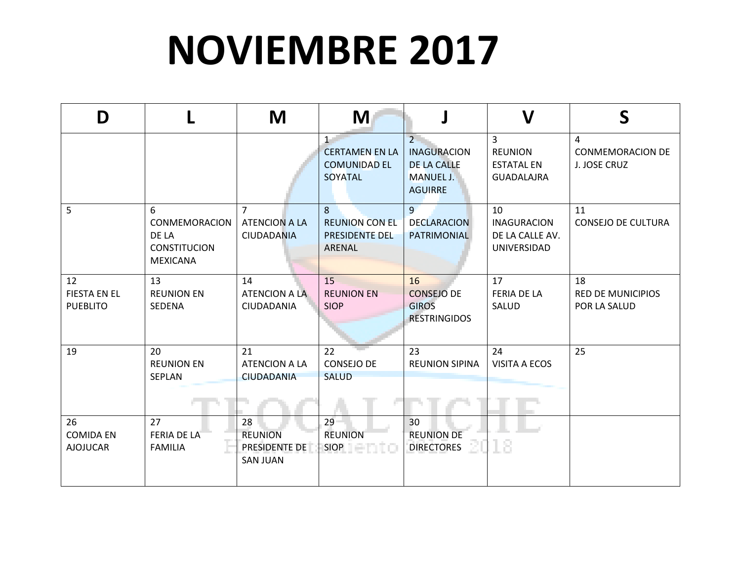## **NOVIEMBRE 2017**

| D                                            |                                                                       | M                                                           | M                                                            |                                                                                                  | $\boldsymbol{\mathsf{V}}$                                     | S                                              |
|----------------------------------------------|-----------------------------------------------------------------------|-------------------------------------------------------------|--------------------------------------------------------------|--------------------------------------------------------------------------------------------------|---------------------------------------------------------------|------------------------------------------------|
|                                              |                                                                       |                                                             | 1<br><b>CERTAMEN EN LA</b><br><b>COMUNIDAD EL</b><br>SOYATAL | $\overline{2}$<br><b>INAGURACION</b><br><b>DE LA CALLE</b><br><b>MANUEL J.</b><br><b>AGUIRRE</b> | 3<br><b>REUNION</b><br><b>ESTATAL EN</b><br><b>GUADALAJRA</b> | 4<br><b>CONMEMORACION DE</b><br>J. JOSE CRUZ   |
| 5                                            | 6<br>CONMEMORACION<br>DE LA<br><b>CONSTITUCION</b><br><b>MEXICANA</b> | $\overline{7}$<br><b>ATENCION A LA</b><br><b>CIUDADANIA</b> | 8<br><b>REUNION CON EL</b><br>PRESIDENTE DEL<br>ARENAL       | 9 <sub>1</sub><br><b>DECLARACION</b><br>PATRIMONIAL                                              | 10<br><b>INAGURACION</b><br>DE LA CALLE AV.<br>UNIVERSIDAD    | 11<br><b>CONSEJO DE CULTURA</b>                |
| 12<br><b>FIESTA EN EL</b><br><b>PUEBLITO</b> | 13<br><b>REUNION EN</b><br>SEDENA                                     | 14<br>ATENCION A LA<br>CIUDADANIA                           | 15<br><b>REUNION EN</b><br><b>SIOP</b>                       | 16<br><b>CONSEJO DE</b><br><b>GIROS</b><br><b>RESTRINGIDOS</b>                                   | 17<br><b>FERIA DE LA</b><br>SALUD                             | 18<br><b>RED DE MUNICIPIOS</b><br>POR LA SALUD |
| 19                                           | 20<br><b>REUNION EN</b><br>SEPLAN                                     | 21<br><b>ATENCION A LA</b><br><b>CIUDADANIA</b>             | 22<br><b>CONSEJO DE</b><br><b>SALUD</b>                      | 23<br><b>REUNION SIPINA</b>                                                                      | 24<br>VISITA A ECOS                                           | 25                                             |
| 26<br><b>COMIDA EN</b><br><b>AJOJUCAR</b>    | 27<br><b>FERIA DE LA</b><br><b>FAMILIA</b>                            | 28<br><b>REUNION</b><br>PRESIDENTE DE<br><b>SAN JUAN</b>    | 29<br><b>REUNION</b><br>SIOP <b>AND SIOP</b>                 | 30<br><b>REUNION DE</b><br><b>DIRECTORES</b>                                                     |                                                               |                                                |